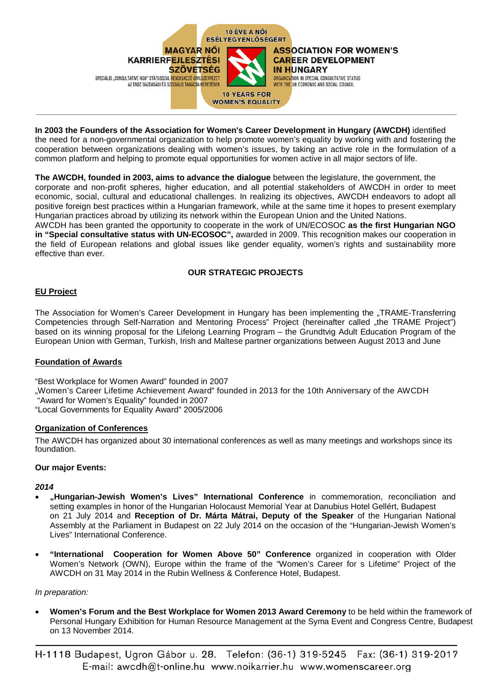

**In 2003 the Founders of the Association for Women's Career Development in Hungary (AWCDH)** identified the need for a non-governmental organization to help promote women's equality by working with and fostering the cooperation between organizations dealing with women's issues, by taking an active role in the formulation of a common platform and helping to promote equal opportunities for women active in all major sectors of life.

**The AWCDH, founded in 2003, aims to advance the dialogue** between the legislature, the government, the corporate and non-profit spheres, higher education, and all potential stakeholders of AWCDH in order to meet economic, social, cultural and educational challenges. In realizing its objectives, AWCDH endeavors to adopt all positive foreign best practices within a Hungarian framework, while at the same time it hopes to present exemplary Hungarian practices abroad by utilizing its network within the European Union and the United Nations. AWCDH has been granted the opportunity to cooperate in the work of UN/ECOSOC **as the first Hungarian NGO in "Special consultative status with UN-ECOSOC",** awarded in 2009. This recognition makes our cooperation in the field of European relations and global issues like gender equality, women's rights and sustainability more effective than ever.

# **OUR STRATEGIC PROJECTS**

# **EU Project**

The Association for Women's Career Development in Hungary has been implementing the "TRAME-Transferring Competencies through Self-Narration and Mentoring Process" Project (hereinafter called "the TRAME Project") based on its winning proposal for the Lifelong Learning Program – the Grundtvig Adult Education Program of the European Union with German, Turkish, Irish and Maltese partner organizations between August 2013 and June

### **Foundation of Awards**

"Best Workplace for Women Award" founded in 2007

- "Women's Career Lifetime Achievement Award" founded in 2013 for the 10th Anniversary of the AWCDH
- "Award for Women's Equality" founded in 2007

"Local Governments for Equality Award" 2005/2006

### **Organization of Conferences**

The AWCDH has organized about 30 international conferences as well as many meetings and workshops since its foundation.

### **Our major Events:**

### *2014*

- **"Hungarian-Jewish Women's Lives" International Conference** in commemoration, reconciliation and setting examples in honor of the Hungarian Holocaust Memorial Year at Danubius Hotel Gellért, Budapest on 21 July 2014 and **Reception of Dr. Márta Mátrai, Deputy of the Speaker** of the Hungarian National Assembly at the Parliament in Budapest on 22 July 2014 on the occasion of the "Hungarian-Jewish Women's Lives" International Conference.
- **"International Cooperation for Women Above 50" Conference** organized in cooperation with Older Women's Network (OWN), Europe within the frame of the "Women's Career for s Lifetime" Project of the AWCDH on 31 May 2014 in the Rubin Wellness & Conference Hotel, Budapest.

#### *In preparation:*

- **Women's Forum and the Best Workplace for Women 2013 Award Ceremony** to be held within the framework of Personal Hungary Exhibition for Human Resource Management at the Syma Event and Congress Centre, Budapest on 13 November 2014.
- H-1118 Budapest, Ugron Gábor u. 28. Telefon: (36-1) 319-5245 Fax: (36-1) 319-2017 E-mail: awcdh@t-online.hu www.noikarrier.hu www.womenscareer.org